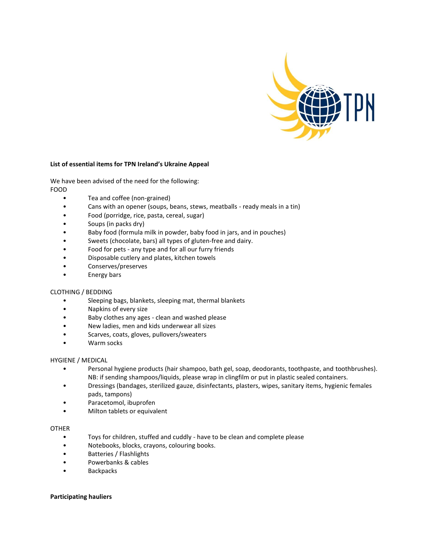

## **List of essential items for TPN Ireland's Ukraine Appeal**

We have been advised of the need for the following:

FOOD

- Tea and coffee (non-grained)
- Cans with an opener (soups, beans, stews, meatballs ready meals in a tin)
- Food (porridge, rice, pasta, cereal, sugar)
- Soups (in packs dry)
- Baby food (formula milk in powder, baby food in jars, and in pouches)
- Sweets (chocolate, bars) all types of gluten-free and dairy.
- Food for pets any type and for all our furry friends
- Disposable cutlery and plates, kitchen towels
- Conserves/preserves
- Energy bars

# CLOTHING / BEDDING

- Sleeping bags, blankets, sleeping mat, thermal blankets
- Napkins of every size
- Baby clothes any ages clean and washed please
- New ladies, men and kids underwear all sizes
- Scarves, coats, gloves, pullovers/sweaters
- Warm socks

# HYGIENE / MEDICAL

- Personal hygiene products (hair shampoo, bath gel, soap, deodorants, toothpaste, and toothbrushes). NB: if sending shampoos/liquids, please wrap in clingfilm or put in plastic sealed containers.
- Dressings (bandages, sterilized gauze, disinfectants, plasters, wipes, sanitary items, hygienic females pads, tampons)
- Paracetomol, ibuprofen
- Milton tablets or equivalent

### **OTHER**

- Toys for children, stuffed and cuddly have to be clean and complete please
- Notebooks, blocks, crayons, colouring books.
- Batteries / Flashlights
- Powerbanks & cables
- Backpacks

### **Participating hauliers**